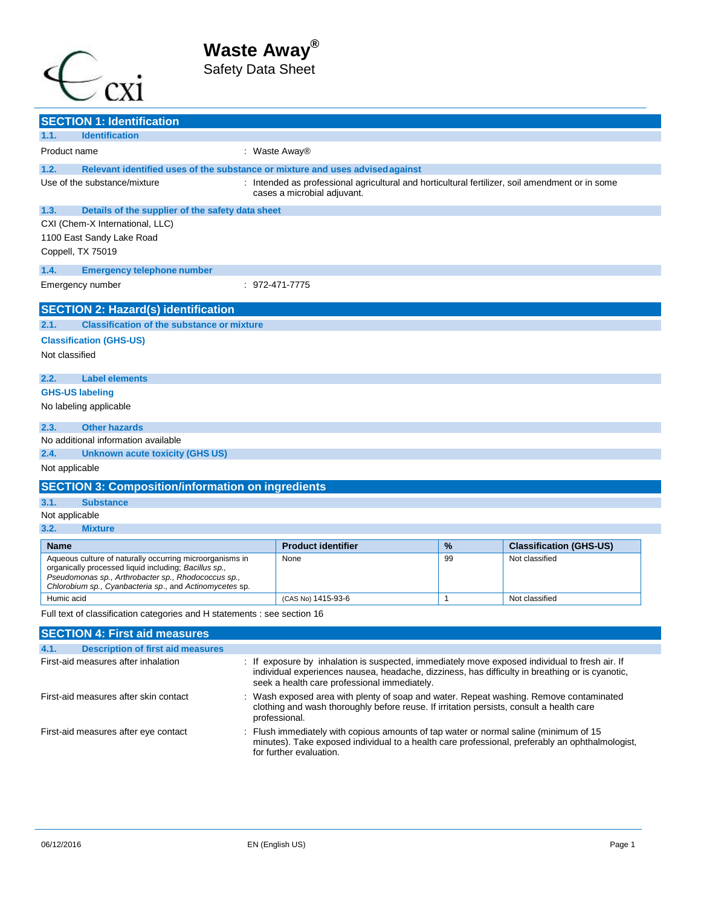



|                                                                                                                                                                                                                                                                                          | <b>SECTION 1: Identification</b>                                                                                                                                                                                                    |                                                                                                                                                                                                                   |                                                                                                                                                                                                     |              |                                |  |
|------------------------------------------------------------------------------------------------------------------------------------------------------------------------------------------------------------------------------------------------------------------------------------------|-------------------------------------------------------------------------------------------------------------------------------------------------------------------------------------------------------------------------------------|-------------------------------------------------------------------------------------------------------------------------------------------------------------------------------------------------------------------|-----------------------------------------------------------------------------------------------------------------------------------------------------------------------------------------------------|--------------|--------------------------------|--|
| 1.1.                                                                                                                                                                                                                                                                                     | <b>Identification</b>                                                                                                                                                                                                               |                                                                                                                                                                                                                   |                                                                                                                                                                                                     |              |                                |  |
| Product name                                                                                                                                                                                                                                                                             |                                                                                                                                                                                                                                     |                                                                                                                                                                                                                   | : Waste Away®                                                                                                                                                                                       |              |                                |  |
| 1.2.                                                                                                                                                                                                                                                                                     | Relevant identified uses of the substance or mixture and uses advised against                                                                                                                                                       |                                                                                                                                                                                                                   |                                                                                                                                                                                                     |              |                                |  |
| Use of the substance/mixture                                                                                                                                                                                                                                                             |                                                                                                                                                                                                                                     |                                                                                                                                                                                                                   | : Intended as professional agricultural and horticultural fertilizer, soil amendment or in some<br>cases a microbial adjuvant.                                                                      |              |                                |  |
| 1.3.                                                                                                                                                                                                                                                                                     | Details of the supplier of the safety data sheet                                                                                                                                                                                    |                                                                                                                                                                                                                   |                                                                                                                                                                                                     |              |                                |  |
|                                                                                                                                                                                                                                                                                          | CXI (Chem-X International, LLC)                                                                                                                                                                                                     |                                                                                                                                                                                                                   |                                                                                                                                                                                                     |              |                                |  |
|                                                                                                                                                                                                                                                                                          | 1100 East Sandy Lake Road                                                                                                                                                                                                           |                                                                                                                                                                                                                   |                                                                                                                                                                                                     |              |                                |  |
|                                                                                                                                                                                                                                                                                          | Coppell, TX 75019                                                                                                                                                                                                                   |                                                                                                                                                                                                                   |                                                                                                                                                                                                     |              |                                |  |
| 1.4.                                                                                                                                                                                                                                                                                     | <b>Emergency telephone number</b>                                                                                                                                                                                                   |                                                                                                                                                                                                                   |                                                                                                                                                                                                     |              |                                |  |
|                                                                                                                                                                                                                                                                                          | Emergency number                                                                                                                                                                                                                    |                                                                                                                                                                                                                   | $: 972 - 471 - 7775$                                                                                                                                                                                |              |                                |  |
|                                                                                                                                                                                                                                                                                          | <b>SECTION 2: Hazard(s) identification</b>                                                                                                                                                                                          |                                                                                                                                                                                                                   |                                                                                                                                                                                                     |              |                                |  |
| 2.1.                                                                                                                                                                                                                                                                                     | <b>Classification of the substance or mixture</b>                                                                                                                                                                                   |                                                                                                                                                                                                                   |                                                                                                                                                                                                     |              |                                |  |
|                                                                                                                                                                                                                                                                                          | <b>Classification (GHS-US)</b>                                                                                                                                                                                                      |                                                                                                                                                                                                                   |                                                                                                                                                                                                     |              |                                |  |
| Not classified                                                                                                                                                                                                                                                                           |                                                                                                                                                                                                                                     |                                                                                                                                                                                                                   |                                                                                                                                                                                                     |              |                                |  |
| 2.2.                                                                                                                                                                                                                                                                                     | <b>Label elements</b>                                                                                                                                                                                                               |                                                                                                                                                                                                                   |                                                                                                                                                                                                     |              |                                |  |
|                                                                                                                                                                                                                                                                                          | <b>GHS-US labeling</b>                                                                                                                                                                                                              |                                                                                                                                                                                                                   |                                                                                                                                                                                                     |              |                                |  |
|                                                                                                                                                                                                                                                                                          | No labeling applicable                                                                                                                                                                                                              |                                                                                                                                                                                                                   |                                                                                                                                                                                                     |              |                                |  |
| 2.3.                                                                                                                                                                                                                                                                                     | <b>Other hazards</b>                                                                                                                                                                                                                |                                                                                                                                                                                                                   |                                                                                                                                                                                                     |              |                                |  |
|                                                                                                                                                                                                                                                                                          | No additional information available                                                                                                                                                                                                 |                                                                                                                                                                                                                   |                                                                                                                                                                                                     |              |                                |  |
| 2.4.                                                                                                                                                                                                                                                                                     | <b>Unknown acute toxicity (GHS US)</b>                                                                                                                                                                                              |                                                                                                                                                                                                                   |                                                                                                                                                                                                     |              |                                |  |
| Not applicable                                                                                                                                                                                                                                                                           |                                                                                                                                                                                                                                     |                                                                                                                                                                                                                   |                                                                                                                                                                                                     |              |                                |  |
|                                                                                                                                                                                                                                                                                          | <b>SECTION 3: Composition/information on ingredients</b>                                                                                                                                                                            |                                                                                                                                                                                                                   |                                                                                                                                                                                                     |              |                                |  |
| 3.1.                                                                                                                                                                                                                                                                                     | <b>Substance</b>                                                                                                                                                                                                                    |                                                                                                                                                                                                                   |                                                                                                                                                                                                     |              |                                |  |
| Not applicable                                                                                                                                                                                                                                                                           |                                                                                                                                                                                                                                     |                                                                                                                                                                                                                   |                                                                                                                                                                                                     |              |                                |  |
| 3.2.                                                                                                                                                                                                                                                                                     | <b>Mixture</b>                                                                                                                                                                                                                      |                                                                                                                                                                                                                   |                                                                                                                                                                                                     |              |                                |  |
| <b>Name</b>                                                                                                                                                                                                                                                                              |                                                                                                                                                                                                                                     |                                                                                                                                                                                                                   | <b>Product identifier</b>                                                                                                                                                                           | %            | <b>Classification (GHS-US)</b> |  |
|                                                                                                                                                                                                                                                                                          | Aqueous culture of naturally occurring microorganisms in<br>organically processed liquid including; Bacillus sp.,<br>Pseudomonas sp., Arthrobacter sp., Rhodococcus sp.,<br>Chlorobium sp., Cyanbacteria sp., and Actinomycetes sp. |                                                                                                                                                                                                                   | None                                                                                                                                                                                                | 99           | Not classified                 |  |
| Humic acid                                                                                                                                                                                                                                                                               |                                                                                                                                                                                                                                     |                                                                                                                                                                                                                   | (CAS No) 1415-93-6                                                                                                                                                                                  | $\mathbf{1}$ | Not classified                 |  |
|                                                                                                                                                                                                                                                                                          | Full text of classification categories and H statements : see section 16                                                                                                                                                            |                                                                                                                                                                                                                   |                                                                                                                                                                                                     |              |                                |  |
|                                                                                                                                                                                                                                                                                          | <b>SECTION 4: First aid measures</b>                                                                                                                                                                                                |                                                                                                                                                                                                                   |                                                                                                                                                                                                     |              |                                |  |
| 4.1.                                                                                                                                                                                                                                                                                     | <b>Description of first aid measures</b>                                                                                                                                                                                            |                                                                                                                                                                                                                   |                                                                                                                                                                                                     |              |                                |  |
| First-aid measures after inhalation<br>: If exposure by inhalation is suspected, immediately move exposed individual to fresh air. If<br>individual experiences nausea, headache, dizziness, has difficulty in breathing or is cyanotic,<br>seek a health care professional immediately. |                                                                                                                                                                                                                                     |                                                                                                                                                                                                                   |                                                                                                                                                                                                     |              |                                |  |
| First-aid measures after skin contact                                                                                                                                                                                                                                                    |                                                                                                                                                                                                                                     |                                                                                                                                                                                                                   | : Wash exposed area with plenty of soap and water. Repeat washing. Remove contaminated<br>clothing and wash thoroughly before reuse. If irritation persists, consult a health care<br>professional. |              |                                |  |
| First-aid measures after eye contact                                                                                                                                                                                                                                                     |                                                                                                                                                                                                                                     | Flush immediately with copious amounts of tap water or normal saline (minimum of 15<br>minutes). Take exposed individual to a health care professional, preferably an ophthalmologist,<br>for further evaluation. |                                                                                                                                                                                                     |              |                                |  |
|                                                                                                                                                                                                                                                                                          |                                                                                                                                                                                                                                     |                                                                                                                                                                                                                   |                                                                                                                                                                                                     |              |                                |  |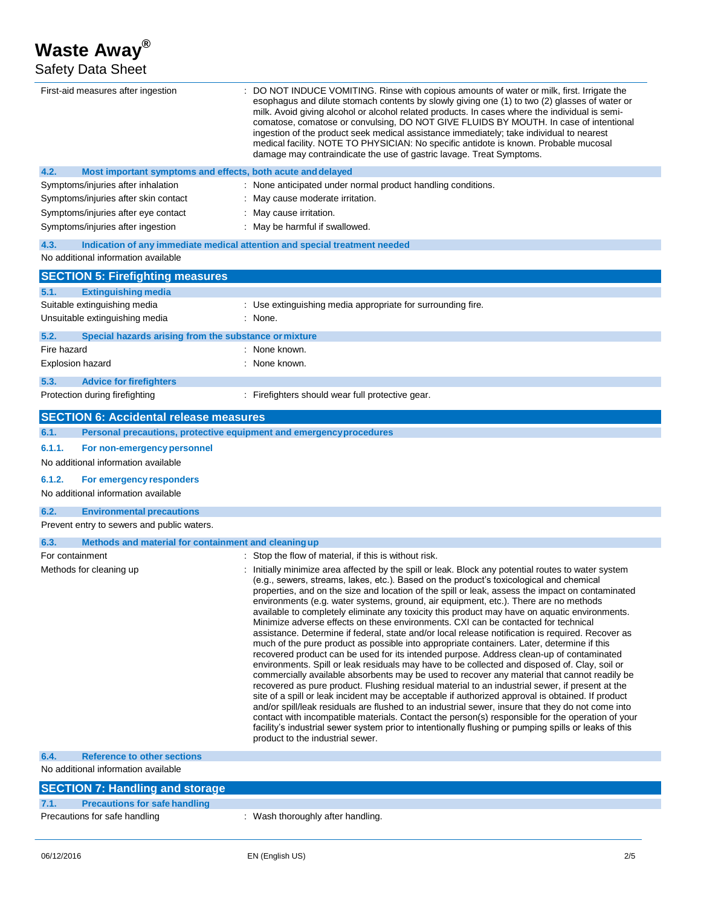Safety Data Sheet

| First-aid measures after ingestion                                                                                        | : DO NOT INDUCE VOMITING. Rinse with copious amounts of water or milk, first. Irrigate the<br>esophagus and dilute stomach contents by slowly giving one (1) to two (2) glasses of water or<br>milk. Avoid giving alcohol or alcohol related products. In cases where the individual is semi-<br>comatose, comatose or convulsing, DO NOT GIVE FLUIDS BY MOUTH. In case of intentional<br>ingestion of the product seek medical assistance immediately; take individual to nearest<br>medical facility. NOTE TO PHYSICIAN: No specific antidote is known. Probable mucosal<br>damage may contraindicate the use of gastric lavage. Treat Symptoms.                                                                                                                                                                                                                                                                                                                                                                                                                                                                                                                                                                                                                                                                                                                                                                                                                                                                                                                                                                                              |  |  |  |
|---------------------------------------------------------------------------------------------------------------------------|-------------------------------------------------------------------------------------------------------------------------------------------------------------------------------------------------------------------------------------------------------------------------------------------------------------------------------------------------------------------------------------------------------------------------------------------------------------------------------------------------------------------------------------------------------------------------------------------------------------------------------------------------------------------------------------------------------------------------------------------------------------------------------------------------------------------------------------------------------------------------------------------------------------------------------------------------------------------------------------------------------------------------------------------------------------------------------------------------------------------------------------------------------------------------------------------------------------------------------------------------------------------------------------------------------------------------------------------------------------------------------------------------------------------------------------------------------------------------------------------------------------------------------------------------------------------------------------------------------------------------------------------------|--|--|--|
| 4.2.<br>Most important symptoms and effects, both acute and delayed                                                       |                                                                                                                                                                                                                                                                                                                                                                                                                                                                                                                                                                                                                                                                                                                                                                                                                                                                                                                                                                                                                                                                                                                                                                                                                                                                                                                                                                                                                                                                                                                                                                                                                                                 |  |  |  |
| Symptoms/injuries after inhalation                                                                                        | : None anticipated under normal product handling conditions.                                                                                                                                                                                                                                                                                                                                                                                                                                                                                                                                                                                                                                                                                                                                                                                                                                                                                                                                                                                                                                                                                                                                                                                                                                                                                                                                                                                                                                                                                                                                                                                    |  |  |  |
| Symptoms/injuries after skin contact                                                                                      | : May cause moderate irritation.                                                                                                                                                                                                                                                                                                                                                                                                                                                                                                                                                                                                                                                                                                                                                                                                                                                                                                                                                                                                                                                                                                                                                                                                                                                                                                                                                                                                                                                                                                                                                                                                                |  |  |  |
| Symptoms/injuries after eye contact                                                                                       | : May cause irritation.                                                                                                                                                                                                                                                                                                                                                                                                                                                                                                                                                                                                                                                                                                                                                                                                                                                                                                                                                                                                                                                                                                                                                                                                                                                                                                                                                                                                                                                                                                                                                                                                                         |  |  |  |
| Symptoms/injuries after ingestion                                                                                         | : May be harmful if swallowed.                                                                                                                                                                                                                                                                                                                                                                                                                                                                                                                                                                                                                                                                                                                                                                                                                                                                                                                                                                                                                                                                                                                                                                                                                                                                                                                                                                                                                                                                                                                                                                                                                  |  |  |  |
| Indication of any immediate medical attention and special treatment needed<br>4.3.<br>No additional information available |                                                                                                                                                                                                                                                                                                                                                                                                                                                                                                                                                                                                                                                                                                                                                                                                                                                                                                                                                                                                                                                                                                                                                                                                                                                                                                                                                                                                                                                                                                                                                                                                                                                 |  |  |  |
| <b>SECTION 5: Firefighting measures</b>                                                                                   |                                                                                                                                                                                                                                                                                                                                                                                                                                                                                                                                                                                                                                                                                                                                                                                                                                                                                                                                                                                                                                                                                                                                                                                                                                                                                                                                                                                                                                                                                                                                                                                                                                                 |  |  |  |
| 5.1.<br><b>Extinguishing media</b>                                                                                        |                                                                                                                                                                                                                                                                                                                                                                                                                                                                                                                                                                                                                                                                                                                                                                                                                                                                                                                                                                                                                                                                                                                                                                                                                                                                                                                                                                                                                                                                                                                                                                                                                                                 |  |  |  |
| Suitable extinguishing media                                                                                              | : Use extinguishing media appropriate for surrounding fire.                                                                                                                                                                                                                                                                                                                                                                                                                                                                                                                                                                                                                                                                                                                                                                                                                                                                                                                                                                                                                                                                                                                                                                                                                                                                                                                                                                                                                                                                                                                                                                                     |  |  |  |
| Unsuitable extinguishing media                                                                                            | : None.                                                                                                                                                                                                                                                                                                                                                                                                                                                                                                                                                                                                                                                                                                                                                                                                                                                                                                                                                                                                                                                                                                                                                                                                                                                                                                                                                                                                                                                                                                                                                                                                                                         |  |  |  |
| 5.2.<br>Special hazards arising from the substance or mixture                                                             |                                                                                                                                                                                                                                                                                                                                                                                                                                                                                                                                                                                                                                                                                                                                                                                                                                                                                                                                                                                                                                                                                                                                                                                                                                                                                                                                                                                                                                                                                                                                                                                                                                                 |  |  |  |
| Fire hazard                                                                                                               | : None known.                                                                                                                                                                                                                                                                                                                                                                                                                                                                                                                                                                                                                                                                                                                                                                                                                                                                                                                                                                                                                                                                                                                                                                                                                                                                                                                                                                                                                                                                                                                                                                                                                                   |  |  |  |
| <b>Explosion hazard</b>                                                                                                   | : None known.                                                                                                                                                                                                                                                                                                                                                                                                                                                                                                                                                                                                                                                                                                                                                                                                                                                                                                                                                                                                                                                                                                                                                                                                                                                                                                                                                                                                                                                                                                                                                                                                                                   |  |  |  |
| 5.3.<br><b>Advice for firefighters</b>                                                                                    |                                                                                                                                                                                                                                                                                                                                                                                                                                                                                                                                                                                                                                                                                                                                                                                                                                                                                                                                                                                                                                                                                                                                                                                                                                                                                                                                                                                                                                                                                                                                                                                                                                                 |  |  |  |
| Protection during firefighting                                                                                            | : Firefighters should wear full protective gear.                                                                                                                                                                                                                                                                                                                                                                                                                                                                                                                                                                                                                                                                                                                                                                                                                                                                                                                                                                                                                                                                                                                                                                                                                                                                                                                                                                                                                                                                                                                                                                                                |  |  |  |
| <b>SECTION 6: Accidental release measures</b>                                                                             |                                                                                                                                                                                                                                                                                                                                                                                                                                                                                                                                                                                                                                                                                                                                                                                                                                                                                                                                                                                                                                                                                                                                                                                                                                                                                                                                                                                                                                                                                                                                                                                                                                                 |  |  |  |
| 6.1.<br>Personal precautions, protective equipment and emergency procedures                                               |                                                                                                                                                                                                                                                                                                                                                                                                                                                                                                                                                                                                                                                                                                                                                                                                                                                                                                                                                                                                                                                                                                                                                                                                                                                                                                                                                                                                                                                                                                                                                                                                                                                 |  |  |  |
| 6.1.1.<br>For non-emergency personnel                                                                                     |                                                                                                                                                                                                                                                                                                                                                                                                                                                                                                                                                                                                                                                                                                                                                                                                                                                                                                                                                                                                                                                                                                                                                                                                                                                                                                                                                                                                                                                                                                                                                                                                                                                 |  |  |  |
| No additional information available                                                                                       |                                                                                                                                                                                                                                                                                                                                                                                                                                                                                                                                                                                                                                                                                                                                                                                                                                                                                                                                                                                                                                                                                                                                                                                                                                                                                                                                                                                                                                                                                                                                                                                                                                                 |  |  |  |
| 6.1.2.<br>For emergency responders                                                                                        |                                                                                                                                                                                                                                                                                                                                                                                                                                                                                                                                                                                                                                                                                                                                                                                                                                                                                                                                                                                                                                                                                                                                                                                                                                                                                                                                                                                                                                                                                                                                                                                                                                                 |  |  |  |
| No additional information available                                                                                       |                                                                                                                                                                                                                                                                                                                                                                                                                                                                                                                                                                                                                                                                                                                                                                                                                                                                                                                                                                                                                                                                                                                                                                                                                                                                                                                                                                                                                                                                                                                                                                                                                                                 |  |  |  |
|                                                                                                                           |                                                                                                                                                                                                                                                                                                                                                                                                                                                                                                                                                                                                                                                                                                                                                                                                                                                                                                                                                                                                                                                                                                                                                                                                                                                                                                                                                                                                                                                                                                                                                                                                                                                 |  |  |  |
| 6.2.<br><b>Environmental precautions</b><br>Prevent entry to sewers and public waters.                                    |                                                                                                                                                                                                                                                                                                                                                                                                                                                                                                                                                                                                                                                                                                                                                                                                                                                                                                                                                                                                                                                                                                                                                                                                                                                                                                                                                                                                                                                                                                                                                                                                                                                 |  |  |  |
|                                                                                                                           |                                                                                                                                                                                                                                                                                                                                                                                                                                                                                                                                                                                                                                                                                                                                                                                                                                                                                                                                                                                                                                                                                                                                                                                                                                                                                                                                                                                                                                                                                                                                                                                                                                                 |  |  |  |
| 6.3.<br>Methods and material for containment and cleaning up                                                              |                                                                                                                                                                                                                                                                                                                                                                                                                                                                                                                                                                                                                                                                                                                                                                                                                                                                                                                                                                                                                                                                                                                                                                                                                                                                                                                                                                                                                                                                                                                                                                                                                                                 |  |  |  |
| For containment                                                                                                           | : Stop the flow of material, if this is without risk.                                                                                                                                                                                                                                                                                                                                                                                                                                                                                                                                                                                                                                                                                                                                                                                                                                                                                                                                                                                                                                                                                                                                                                                                                                                                                                                                                                                                                                                                                                                                                                                           |  |  |  |
| Methods for cleaning up                                                                                                   | : Initially minimize area affected by the spill or leak. Block any potential routes to water system<br>(e.g., sewers, streams, lakes, etc.). Based on the product's toxicological and chemical<br>properties, and on the size and location of the spill or leak, assess the impact on contaminated<br>environments (e.g. water systems, ground, air equipment, etc.). There are no methods<br>available to completely eliminate any toxicity this product may have on aquatic environments.<br>Minimize adverse effects on these environments. CXI can be contacted for technical<br>assistance. Determine if federal, state and/or local release notification is required. Recover as<br>much of the pure product as possible into appropriate containers. Later, determine if this<br>recovered product can be used for its intended purpose. Address clean-up of contaminated<br>environments. Spill or leak residuals may have to be collected and disposed of. Clay, soil or<br>commercially available absorbents may be used to recover any material that cannot readily be<br>recovered as pure product. Flushing residual material to an industrial sewer, if present at the<br>site of a spill or leak incident may be acceptable if authorized approval is obtained. If product<br>and/or spill/leak residuals are flushed to an industrial sewer, insure that they do not come into<br>contact with incompatible materials. Contact the person(s) responsible for the operation of your<br>facility's industrial sewer system prior to intentionally flushing or pumping spills or leaks of this<br>product to the industrial sewer. |  |  |  |
| 6.4.<br><b>Reference to other sections</b>                                                                                |                                                                                                                                                                                                                                                                                                                                                                                                                                                                                                                                                                                                                                                                                                                                                                                                                                                                                                                                                                                                                                                                                                                                                                                                                                                                                                                                                                                                                                                                                                                                                                                                                                                 |  |  |  |
| No additional information available                                                                                       |                                                                                                                                                                                                                                                                                                                                                                                                                                                                                                                                                                                                                                                                                                                                                                                                                                                                                                                                                                                                                                                                                                                                                                                                                                                                                                                                                                                                                                                                                                                                                                                                                                                 |  |  |  |
| <b>SECTION 7: Handling and storage</b>                                                                                    |                                                                                                                                                                                                                                                                                                                                                                                                                                                                                                                                                                                                                                                                                                                                                                                                                                                                                                                                                                                                                                                                                                                                                                                                                                                                                                                                                                                                                                                                                                                                                                                                                                                 |  |  |  |
| <b>Precautions for safe handling</b><br>7.1.                                                                              |                                                                                                                                                                                                                                                                                                                                                                                                                                                                                                                                                                                                                                                                                                                                                                                                                                                                                                                                                                                                                                                                                                                                                                                                                                                                                                                                                                                                                                                                                                                                                                                                                                                 |  |  |  |

Precautions for safe handling **interest and the CO** in Wash thoroughly after handling.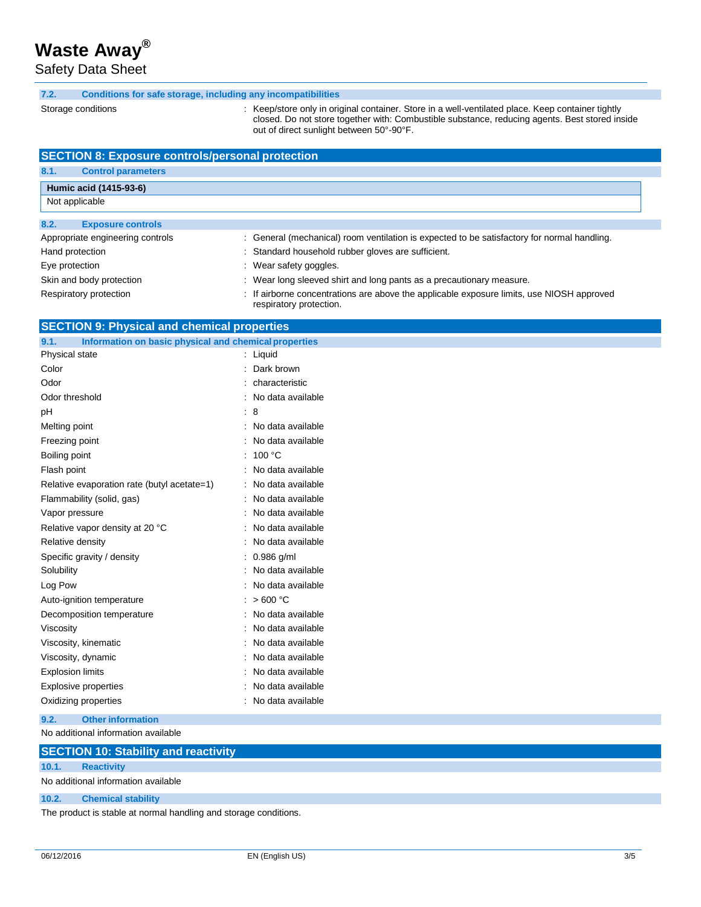Safety Data Sheet

#### **7.2. Conditions for safe sto rage, including any incompatibilities**

Storage conditions

: Keep/store only in original container. Store in a well-ventilated place. Keep container tightly closed. Do not store together with: Combustible substance, reducing agents. Best stored inside out of direct sunlight between 50°-90°F.

| <b>SECTION 8: Exposure controls/personal protection</b>       |                                                                                                                      |  |  |  |  |  |
|---------------------------------------------------------------|----------------------------------------------------------------------------------------------------------------------|--|--|--|--|--|
| 8.1.<br><b>Control parameters</b>                             |                                                                                                                      |  |  |  |  |  |
| Humic acid (1415-93-6)                                        |                                                                                                                      |  |  |  |  |  |
| Not applicable                                                |                                                                                                                      |  |  |  |  |  |
| 8.2.<br><b>Exposure controls</b>                              |                                                                                                                      |  |  |  |  |  |
| Appropriate engineering controls                              | : General (mechanical) room ventilation is expected to be satisfactory for normal handling.                          |  |  |  |  |  |
| Hand protection                                               | : Standard household rubber gloves are sufficient.                                                                   |  |  |  |  |  |
| Eye protection                                                | : Wear safety goggles.                                                                                               |  |  |  |  |  |
| Skin and body protection                                      | : Wear long sleeved shirt and long pants as a precautionary measure.                                                 |  |  |  |  |  |
| Respiratory protection                                        | : If airborne concentrations are above the applicable exposure limits, use NIOSH approved<br>respiratory protection. |  |  |  |  |  |
| <b>SECTION 9: Physical and chemical properties</b>            |                                                                                                                      |  |  |  |  |  |
| Information on basic physical and chemical properties<br>9.1. |                                                                                                                      |  |  |  |  |  |

| 9.1.<br>Information on basic physical and chemical properties |                |                   |
|---------------------------------------------------------------|----------------|-------------------|
| Physical state                                                | ÷              | Liquid            |
| Color                                                         |                | Dark brown        |
| Odor                                                          |                | characteristic    |
| Odor threshold                                                |                | No data available |
| pH                                                            | ÷              | 8                 |
| Melting point                                                 | $\overline{z}$ | No data available |
| Freezing point                                                |                | No data available |
| Boiling point                                                 |                | 100 °C            |
| Flash point                                                   |                | No data available |
| Relative evaporation rate (butyl acetate=1)                   |                | No data available |
| Flammability (solid, gas)                                     |                | No data available |
| Vapor pressure                                                |                | No data available |
| Relative vapor density at 20 °C                               |                | No data available |
| Relative density                                              |                | No data available |
| Specific gravity / density                                    |                | $0.986$ g/ml      |
| Solubility                                                    |                | No data available |
| Log Pow                                                       |                | No data available |
| Auto-ignition temperature                                     |                | >600 °C           |
| Decomposition temperature                                     |                | No data available |
| Viscosity                                                     |                | No data available |
| Viscosity, kinematic                                          |                | No data available |
| Viscosity, dynamic                                            |                | No data available |
| <b>Explosion limits</b>                                       |                | No data available |
| <b>Explosive properties</b>                                   |                | No data available |
| Oxidizing properties                                          |                | No data available |
|                                                               |                |                   |

No additional information available **9.2. Other information**

## **SECTION 10: Stability and reactivity**

#### **10.1. Reactivity**

No additional information available

#### **10.2. Chemical stability**

The product is stable at normal handling and storage conditions.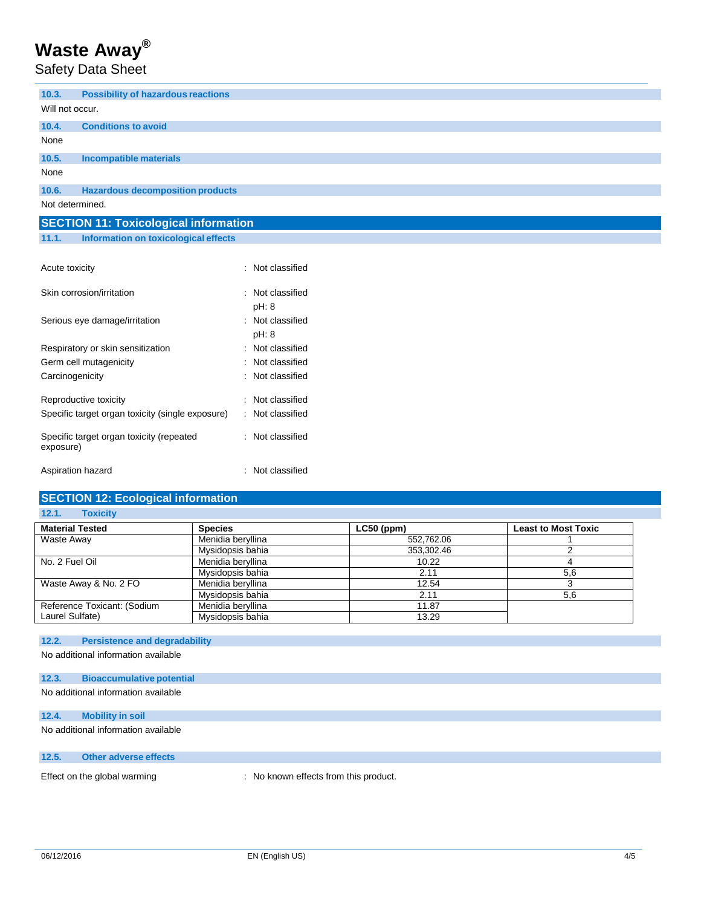Safety Data Sheet

| 10.3.                                        | <b>Possibility of hazardous reactions</b> |  |  |
|----------------------------------------------|-------------------------------------------|--|--|
| Will not occur.                              |                                           |  |  |
| 10.4.                                        | <b>Conditions to avoid</b>                |  |  |
| None                                         |                                           |  |  |
| 10.5.                                        | <b>Incompatible materials</b>             |  |  |
| None                                         |                                           |  |  |
| 10.6.                                        | <b>Hazardous decomposition products</b>   |  |  |
| Not determined.                              |                                           |  |  |
| <b>SECTION 11: Toxicological information</b> |                                           |  |  |
| 11.1.                                        | Information on toxicological effects      |  |  |

| Acute toxicity                                        | $:$ Not classified          |
|-------------------------------------------------------|-----------------------------|
| Skin corrosion/irritation                             | $:$ Not classified<br>pH: 8 |
| Serious eye damage/irritation                         | : Not classified<br>pH: 8   |
| Respiratory or skin sensitization                     | $:$ Not classified          |
| Germ cell mutagenicity                                | Not classified              |
| Carcinogenicity                                       | Not classified              |
| Reproductive toxicity                                 | Not classified              |
| Specific target organ toxicity (single exposure)      | : Not classified            |
| Specific target organ toxicity (repeated<br>exposure) | : Not classified            |
| Aspiration hazard                                     | : Not classified            |

## **SECTION 12: Ecological information**

| <b>Toxicity</b><br>12.1.    |                   |              |                            |
|-----------------------------|-------------------|--------------|----------------------------|
| <b>Material Tested</b>      | <b>Species</b>    | $LC50$ (ppm) | <b>Least to Most Toxic</b> |
| Waste Away                  | Menidia beryllina | 552,762.06   |                            |
|                             | Mysidopsis bahia  | 353.302.46   |                            |
| No. 2 Fuel Oil              | Menidia beryllina | 10.22        |                            |
|                             | Mysidopsis bahia  | 2.11         | 5,6                        |
| Waste Away & No. 2 FO       | Menidia beryllina | 12.54        |                            |
|                             | Mysidopsis bahia  | 2.11         | 5,6                        |
| Reference Toxicant: (Sodium | Menidia beryllina | 11.87        |                            |
| Laurel Sulfate)             | Mysidopsis bahia  | 13.29        |                            |

## **12.2. Persistence and degradability**

No additional information available

## **12.3. Bioaccumulative potential**

No additional information available

## **12.4. Mobility in soil**

No additional information available

## **12.5. Other adverse effects**

Effect on the global warming : No known effects from this product.